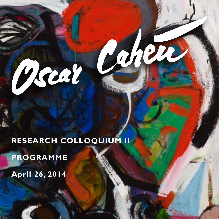**RESEARCH COLLOQUIUM II**

Coler

**PROGRAMME**

Pscal

**April 26, 2014**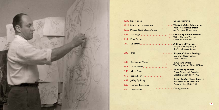#### 12:00 Doors open Opening remarks **The Art of the Ephemeral:** 12:15 Lunch and conversation Mass-Print Media's Impact 12:55 Michael Cahén, Jaleen Grove ...... on European Modernism 1:00 Sara Angel **Creativity Behind Barbed Wire**: The Lost Years of 1:30 Paula Draper Canadian Internment **A Crown of Thorns:**  2:00 Cy Strom Religious Iconography in the Art of Oscar Cahén 2:30 Break **Shapes, Colours, Feelings:**  Exploring Oscar Cahén With Children **In Oscar's Orbit:** 3:00 Bernadette Wycks The Early Work of Harold Town 3:15 Gerta Moray **Stimulating Minds:** 3:45 Jaleen Grove Oscar Cahén and Canadian Graphic Design, 1940-1956 4:15 Jessica Poon  $1, 1, 1, 1, 1, 1, 1$ **Oscar Cahén, Model Emigré:**  4:45 Jeffrey Spalding Identity and Nationhood in Canadian Art, 1940-1956 5:00 Tours and reception Closing remarks 6:00 Doors close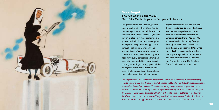

## **Sara Angel The Art of the Ephemeral:** Mass-Print Media's Impact on European Modernism

This presentation provides insight into the atmosphere in which Oscar Cahén came of age as an artist and illustrator. In the wake of the First World War, Europe saw an explosion in mass-print media as graphic design in the modern style gained widespread acceptance and application throughout France, Germany, Spain, and the Soviet Union. As the booming post-war economy established a greater need for visually compelling advertising, packaging, and publishing, innovations in printing technology, photography, and the emergence of the Bauhaus school and other similar academies of design, closed the gap between high and low culture.

Angel's presentation will address how the unprecedented deluge of illustrated newspapers, magazines and other mass-print media that appeared on European streets from 1925 to 1940 impacted artists including George Grosz, John Heartfield, Pablo Picasso, Josep Renau, El Lissitzky, and Max Ernst, and radically transformed the cultural landscape. Angel will discuss in more detail the print cultures of Dresden and Prague during the 1930s, when Oscar Cahén lived in those cities.

*Sara Angel holds a Trudeau Doctoral Scholarship and is a Ph.D. candidate at the University of Toronto. Also the founding director of the Art Canada Institute/Institut de l'art Canadien, dedicated to the education and promotion of Canadian art history, Angel has been a guest lecturer at Harvard University, the University of Toronto, Ryerson University, the Royal Ontario Museum, the*  Art Gallery of Ontario, and the National Gallery of Canada. She has published in the Journal for Canadian Art History, Leonardo: The Journal of the International Society for the Arts, Sciences and Technology, Maclean's, Canadian Art, The Walrus, *and* The Globe and Mail.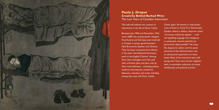

## **Paula J. Draper Creativity Behind Barbed Wire:**  The Lost Years of Canadian Internment

This talk will address the context of internment in the life of Oscar Cahén.

Between July 1940 and December 1944, some 2280 men, mostly Jewish refugees from Austria and Germany, were interned in Canada in camps spread between New Brunswick, Quebec and Ontario. They had been evacuated from Britain in the panic that followed Germany's push to the English Channel. Among them were teenagers and sixty year olds, orthodox Jews and Jews only by Nazi racial definition - including yeshiva students, businessmen, academics, labourers, scientists, and artists including twenty-four year old Oscar Cahén.

Cahén spent 18 months in internment, most of them in Camp N in Sherbrooke, Quebec where a military observer noted "strictness arbitrarily applied . . . rude and appalling language and indulgence in antisemitic remarks [which] are particularly objectionable". Yet camp life, despite its tedium and the petty tyrannies of the administration, was an educational experience on many levels. Many of the internees were still young men. They were thrown together with a remarkable collection of artists. intellectuals and political activists.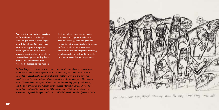#### Artists put on exhibitions, musicians performed concerts and major theatrical productions were staged in both English and German. There were music appreciation groups, debating clubs and newspapers. Internees spent endless hours playing chess and card games, writing diaries, poems and short stories. Politics were hotly debated, as was religion.

Religious observance was permitted and Jewish holidays were celebrated. Schools were organized and provided academic, religious and technical training. In Camp N alone there were seven different educational programs operating simultaneously. Formally and informally, internment was a learning experience.

*Dr. Paula Draper is an historian, writer, and consultant who specializes in memory history, the Holocaust, and Canadian Jewish history. She has taught at the Ontario Institute for Studies in Education, The University of Toronto, and York University, and served as Vice-President of the Association for Canadian Jewish Studies for nine years. Her doctoral thesis, "The Accidental Immigrants: Canada and the Interned Refugees" (U of T, 1983), told the story of German and Austrian Jewish refugees interned in Canada 1940 - 1944. Dr. Draper contributed the text to the 2012 website and exhibit* Enemy Aliens: The Internment of Jewish Refugees in Canada, 1940-1943*, which toured to Quebec in 2014.*

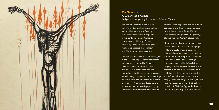

## **Cy Strom A Crown of Thorns:**  Religious Iconography in the Art of Oscar Cahén

The son of a secular Jewish father and a Christian mother, Oscar Cahén had his identity as a lew fixed by the Nazi experience in Europe and by his confinement in a Canadian refugee camp. Although Cahén apparently never practiced the Jewish religion, he married the daughter of a Montreal synagogue cantor.

Like many of his forebears and colleagues in the German Expressionist movement and abstract painting, Cahén saw a spiritual dimension in his art. Art director A.S. Furnival recalled: "He wanted to paint Christ on the cross and he had a very large collection of paintings on the subject. His favourites were early German . . . . " Cahén produced several graphic works and paintings portraying sufferers and worshippers. They include a

notable series of passion and crucifixion scenes, many of them focusing directly on the face of the suffering Christ. One of these, the powerful oil painting *Christus*, hung on Cahén's studio wall.

Notable among lewish artists who have created works of Christian iconography is Marc Chagall, whose crucifixion paintings, however, appear to be making a point almost entirely about his fellow Jews. And Oscar Cahén? Although it seems evident in Cahén's religious imagery that he acquired his conceptual apparatus via the New Testament or in a Christian cultural milieu and that he was influenced by artists such as the deeply Catholic Georges Rouault, still we have no reason to assume that Cahén thought of Christ's effigy as the Face of God. Rather, we may be able to identify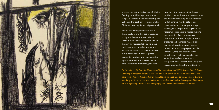

in these works the Jewish face of Christ. Fleeting, half-hidden signs and traces tempt us to track a complex identity for Cahén and to seek out Jewish as well as Christian meanings in his religious works.

Amidst the iconographic features in these works is another set of gestures, or signs – slashes, scythes, tufts and spikes. Cahén made widespread use of these in his representational religious works and often in other works, and he retained them in his abstract works. In his notebooks Cahén equates abstraction at times with the quest for a purer aestheticism; however, he also links abstraction with feeling and with

meaning – the meanings that the artist instills in the work and the meanings that the work impresses upon the observer. In that light we may be able to see these slashes and other gestural signs evolving into a repertoire of glyphs that reassemble into elusive images awaiting interpretation: floral, zoomorphic, plantlike or anthropomorphic; at once creatures and chimeras, material and immaterial. As signs, these gestures of pen and brush are polysemous. As identifiers, they are unstable, fixed as half-recognized images and at the same time un-fixed  $-$  as open to interpretation as Oscar Cahén's religious imagery, and perhaps his own identity.

*Cy Strom has a BA from the University of Toronto and MA and MPhil degrees from Columbia University in European history of the 16th and 17th centuries. He works as an editor and has published in academic and other areas. He has interests and some expertise in painting and the graphic arts, in cultural studies, and in modern and ancient languages and literatures. He is intrigued by Oscar Cahén's iconography and the cultural associations it evokes.*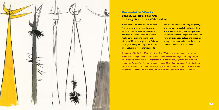

## **Bernadette Wycks Shapes, Colours, Feelings:**  Exploring Oscar Cahén With Children

In the Walnut Studios Blank Canvases Program, Toronto artist educators explored the abstract expressionist paintings of Oscar Cahén in Toronto Public Schools, during the fall and winter of 2013/14. Inspired by Cahén's courage in living his unique life to the fullest, students were introduced to

the idea of abstract thinking, by playing and learning in workshops focused on shape, colour theory and composition. The talk will share images and stories of how children used colour and shape as a way to express feelings, and describe personal views in abstract ways.

*A graduate of Emily Carr University, Bernadette Wycks has been immersed in the world where social change meets art through education, festivals and large-scale puppetry for over ten years. Wycks has recently facilitated art and theatre programs, field trips and shows – and worked as Program Manager – at ArtHeart Community Art Centre in Regent Park, Creative Works Studio in Riverdale, Clay & Paper Theatre in Dufferin Grove Park, and Harbourfront Centre. She is currently an artist educator at Walnut Studios in Toronto.*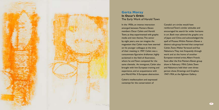

## **Gerta Moray In Oscar's Orbit:**  The Early Work of Harold Town

In the 1950s, an intense interaction emerged between Painters Eleven members Oscar Cahén and Harold Town, as they experimented with graphic media and new themes. The senior by eight years, one can imagine the magnetism that Cahén must have exerted on his younger colleague at the time of their meeting in 1947. Cahén was a consummate figurative draftsman, highly acclaimed in the field of illustration, where he and Town competed for the same clientele. An immigrant, Cahén also brought with him European training and experience, and an acquaintance with pre-World War II European abstraction.

Cahén's intellectualism and expressed contempt for the conservatism of

Canada's art circles would have reinforced Town's similar attitudes and encouraged his search for wider horizons in art. Both men admired the graphic arts of Japan and China and acknowledged the spell of Picasso. Within Painters Eleven a distinct sub-group formed that comprised Cahén, Town, Walter Yarwood and Kaz Nakamura. They met frequently through work and at the home of another European-trained artist, Albert Franck. Soon after the first Painters Eleven group show in February 1954, Cahén, Town and Nakamura held their own threeperson show, Drawings and Graphics 1947-1954, at the Eglinton Gallery.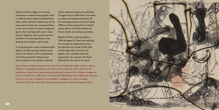Cahén and Town began an exciting interaction in experimental graphic work in 1952-53, when Cahén furnished Town with a press and both made prints on the same stone. Cahén also introduced Town to the use of resist to create transparent layers when working with water colour and ink. Together they confronted the problem of combining abstract line drawing with broader colour areas.

In oil painting their styles remained highly distinct, as Town pursued active cursive lines as the vectors of his compositions, and Cahén pushed his idiosyncratic colour palette to ever greater intensity.

Cahén explored mainly the symbolism of organic forms, while Town was intent on urban and mechanical themes. Yet an increasing osmosis was occurring by 1954-5, as Town learned from Cahén's colour planes and Cahén tested out Town's kinetic and entropic premises.

Despite Cahén's untimely death in 1956, his legacy for Town was enduring. His example of independence from the dominant art trends of the USA, and the high value he set on the graphic arts as parallel media for experiment, set a pattern that Town followed for the rest of his career.

*Gerta Moray is Professor Emerita at the University of Guelph. She holds an M.A. in History (Oxford), a Postgraduate Diploma in Art History (Courtauld), and a Ph.D. (Toronto). Her publications include a the award-winning* Unsettling Encounters: First Nations Imagery in the Art of Emily Carr, *(UBC Press and University of Washington Press, 2006) and numerous articles in journals, monographs and exhibition catalogues, on artists including Emily Carr, Suzy Lake, Mary Pratt, Mary Kavanagh, Natalka Husar and Margaret Priest.*

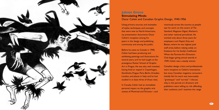

#### **Jaleen Grove Stimulating Minds:**  Oscar Cahén and Canadian Graphic Design, 1940-1956

Using primary sources, and examples of styles, techniques, and concepts that were new to North Americans, my presentation documents Oscar Cahén's reception among his peers in the design and publishing community and among the public.

Before he came to Canada in 1940, Cahén had been producing and exhibiting paintings and illustrations for several years, and he had taught at the prestigious Rotter School of Graphic Art in Prague. He was also well traveled, having lived or stayed in Copenhagen, Stockholm, Prague, Paris, Berlin, Dresden, London, and places in Italy; and he had studied in at least three of those cites.

In Canada, Cahén had an immediate personal impact on the graphic arts scenes of Montreal and Toronto— and vicariously across the country as people saw his work on the covers of *The Standard*, *Magazine Digest*, *Maclean's*, and other national periodicals. He worked only about three years for employers such Rapid, Grip and Batten, where he was highest paid staff artist, before relying solely on freelance for his family's livelihood. When the Toronto Art Directors Club began giving annual awards in 1949, Cahén was a steady winner.

Canadian design critics and professionals were receptive to Cahén's innovations but many Canadian magazine consumers initially felt his work was inexcusably "grotesque" and "surreal." I discuss why, in this period, art directors and publishers were willing to risk offending their audience, and I examine the range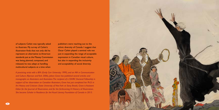of subjects Cahén was typically asked to illustrate. My survey of Cahén's illustration finds that not only did he represent an alternative to American standards just as the Massey Commission was being planned, composed, and released, he was adept at handling multicultural subjects at a time when

publishers were reaching out to the ethnic diversity of Canada. I suggest that Oscar Cahén played a seminal role not just in expanding the range of acceptable expression in Canadian visual culture, but also in expanding the inclusivity and acceptability of social diversity.

*A practicing artist with a BFA (Emily Carr University 1999), and an MA in Communication and Culture (Ryerson and York 2006), Jaleen Grove has published several articles and monographs on illustrators and illustration. The recipient of a SSHRC Doctoral Fellowship in support of her dissertation on Canadian illustrators, Grove has just completed her Ph.D. in Art History and Criticism (State University of New York at Stony Brook). Grove is Assistant Editor for the* Journal of Illustration*, and for the forthcoming* A History of Illustration*. She became Scholar in Residence for the Visual Literacy Foundation of Canada in 2013.*



 $22$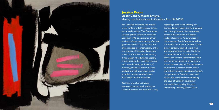

#### **Jessica Poon Oscar Cahén, Model Emigré:**  Identity and Nationhood in Canadian Art, 1940-1956

For Canadian art critics and writers in the 1940s and 1950s, Oscar Cahén was a model emigré. The Danish-born, German-Jewish artist who arrived in Canada in 1940 as a prisoner of war, attained refugee status shortly after, and gained citizenship six years later was often credited by contemporary critics as a pioneer of Canadian illustration as well as Canadian abstract painting. It was Cahén who, during an urgent, critical moment for Canadian national and cultural identity in the face of mounting influences from American publications and other mass-media, provided a unique aesthetic style for Canada to claim as its own.

Yet there was also a strategic evasiveness, among such authors as Donald Buchanan and Pearl McCarthy,

regarding Cahén's own identity as a German-Jewish refugee and his traumatic path through enemy alien internment camps to become one of Canada's leading illustrators. An awareness of the presence of anti-German as well as antisemitic sentiment in postwar Canada almost certainly plagued critics who were not only keen to claim Cahén as the embodiment of Canadian artistic excellence but also apprehensive about the role of an immigrant in fostering a shared national identity. This ambivalence towards the successful artist's ethnic and cultural identity complicates Cahén's recognition as a Canadian talent, and reveals the complexities surrounding the issue of Canadian sovereignty and nationhood during the years immediately following World War II.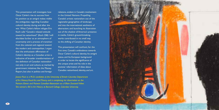This presentation will investigate how Oscar Cahén's rise to success from his position as an emigré makes visible the ambiguities regarding Canadian cultural identity during and after the war. What Cahén's fellow refugee Eric Koch calls "Canada's relaxed attitude toward its nationhood" (Koch 258) I will elucidate further as an atmosphere of uncertainty and a process of transition from the colonial and regional toward the modern and cosmopolitan. I argue  $\overline{\text{that the}}$  enthusiastic affirmation of Cahén's identity as a Canadian artist is indicative of broader transformations of the definition of Canadian nationalism not only in art and culture, as marked by government initiatives like the Massey Report, but also in politics and foreign

relations, evident in Canada's involvement in the United Nations. Propelling Canada's artistic nationalism out of the regionalist geographies of landscape and into the international aesthetics of abstraction, and launching its illustration out of the shadow of America's presence in media, Cahén's ground-breaking works contributed in no small way to the shifting of Canadian identity.

This presentation will confront, for the first time. Canada's ambivalence towards Oscar Cahén's cultural identity, his emigré status, and his European background in order to locate the significance of this unique artist and his role in the postwar reformation of ideas about Canadian nationhood, identity, and art.

*Jessica Poon is a Ph.D. candidate at the University of British Columbia Department of Art History, Visual Art, and Theory, and is completing her dissertation on the Painters Eleven and Postwar Canadian Abstraction as a Killam Doctoral Fellow. She earned a BA in Art History at Barnard College, Columbia University.*

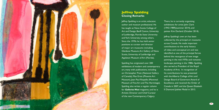

#### **Jeffrey Spalding Closing Remarks**

Jeffrey Spalding is an artist, educator, author and museum professional. He has taught at Nova Scotia College of Art and Design, Banff Centre, University of Lethbridge, Florida State University and York University among others. Since the 1970s he has held senior positions as curator and director of major art museums including Glenbow Museum, Art Gallery of Nova Scotia, University of Lethbridge and Appleton Museum of Art (Florida).

Spalding has originated over 200 exhibitions of modern and contemporary art, many with publications, including on Christopher Pratt (National Gallery of Canada), Max Ernst (Phoenix Art Museum), Jean Paul Riopelle (Montreal Museum of Fine Art and The Hermitage). Spalding also writes a regular column for *Galleries West* magazine, and he is Artistic Director and Chief Curator of the new Contemporary Calgary.

There, he is currently organizing exhibitions for artist John Clark (1943-1989)(summer 2014), and painter Kim Dorland (October 2014).

Jeffrey Spalding's own art has been collected by the principal art museums across Canada. He made important contributions to the early history of video and conceptual art and was identified as one of the principal forces behind the resurgence of new image painting in the mid-1970s and romantic landscape painting in the 1980s. Spalding also served as President of the Royal Academy of Arts. In recognition of his contributions he was presented with the Alberta College of Art and Design Board of Governors Award of Excellence, and received the Order of Canada in 2007, and the Queen Elizabeth II Diamond Jubilee Medal in 2013.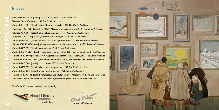# **Images**

- **The Wave Traumoeba** (FAO 036) [detail], oil on canvas, 1956. Private Collection.
- 2<sup>0</sup> ··· Photo of Oscar Cahén, ca. 1951. The Cahén Archives.
- 4 ••• Untitled (IMM 084) [detail], watercolour and gouache, 1939. The Cahén Archives.
- 6 ••• Illustration (IG 1136) [detail], for "Mail," *Maclean's*, mechanical print, 1950. The Cahén Archives.
- 9<sup>9</sup> ··· Refugees (GFA 081) [detail], ink on illustration board, ca. 1950. Private Collection.
- 10 ··· Crucifixion (GFA 1144) [detail], watercolour and ink, ca. 1948. The Cahén Archives.
- 12 ••• Untitled (GFA 302) [detail], oil pastel or litho crayon on paper, ca. 1948. The Cahen Archives.
- 14 ••• Untitled (FAMM 030) [detail], ink and watercolour on illustration board, ca. 1951. Private Collection.
- 16<sup>o</sup> ··· Untitled (GFA 093) [detail], monotype, ca. 1953. Private Collection.
- 19<sup>3</sup> ··· Untitled (FAMM 262) [detail], gouache, ink, monoprint, ca. 1954. Collection of The British Museum.
- Illustration (IG 509A) [detail], for "A Cage for the Birdman," ink, *Maclean's*, 1954. The Cahén Archives.  $(20)$  .
- Illustration (IMM 454) [detail], for "Hayaqwus and the Cross," ink, *Weekend*, 1951. Private Collection.  $23$   $\cdots$
- 24<sup>3</sup> ••• Untitled (FAO 384) [detail], oil on canvas, 1955. Private Collection.
- <sup>27</sup> … Untitled (GFA 053) [detail], mixed media on paper, ca. 1953. The Cahén Archives.
- 28 ••• Untitled (FAO 022) [detail], mixed media on paper, 1951. Private Collection.
- <sup>31</sup> ••• Illustration (IWC 142) [detail], watercolour and ink, for cover of *Maclean's*, 1952. The Cahén Archives.
- **Illustration [detail], for cover of** *The Standard***, mechanical print, 1948. The Cahén Archives.**  $32 \cdot$

The Cahén Colloquium has been sponsored by:



THE CAHÉN ARCHIVESTM/MC ray Caheu

resource@cahen.net